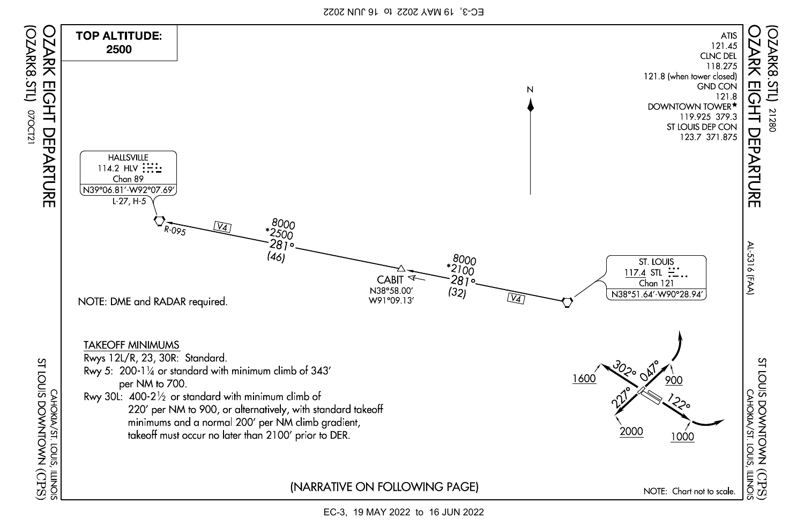EC-3, 19 MAY 2022 to 16 JUN 2022



EC-3, 19 MAY 2022 to 16 JUN 2022